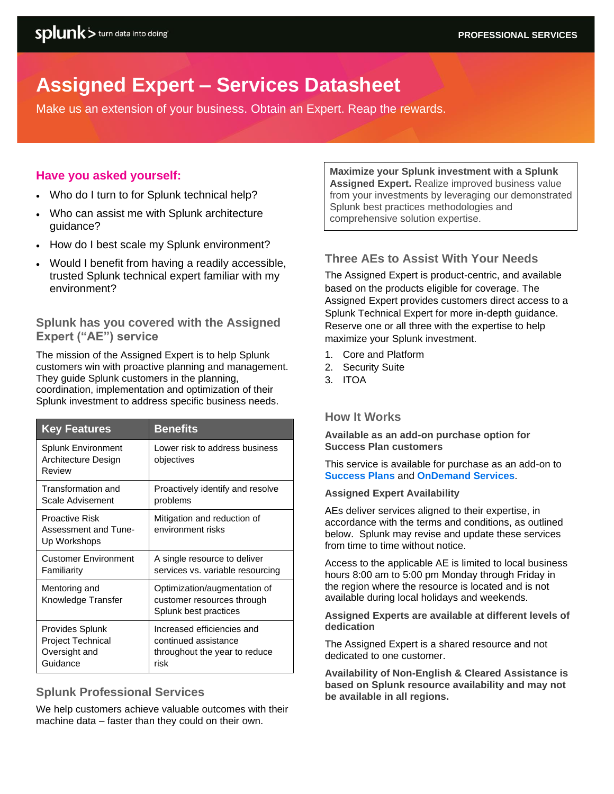# **Assigned Expert – Services Datasheet**

Make us an extension of your business. Obtain an Expert. Reap the rewards.

#### **Have you asked yourself:**

- Who do I turn to for Splunk technical help?
- Who can assist me with Splunk architecture guidance?
- How do I best scale my Splunk environment?
- Would I benefit from having a readily accessible, trusted Splunk technical expert familiar with my environment?

#### **Splunk has you covered with the Assigned Expert ("AE") service**

The mission of the Assigned Expert is to help Splunk customers win with proactive planning and management. They guide Splunk customers in the planning, coordination, implementation and optimization of their Splunk investment to address specific business needs.

| <b>Key Features</b>                                                      | <b>Benefits</b>                                                                             |  |
|--------------------------------------------------------------------------|---------------------------------------------------------------------------------------------|--|
| <b>Splunk Environment</b><br>Architecture Design<br>Review               | Lower risk to address business<br>objectives                                                |  |
| Transformation and<br>Scale Advisement                                   | Proactively identify and resolve<br>problems                                                |  |
| <b>Proactive Risk</b><br>Assessment and Tune-<br>Up Workshops            | Mitigation and reduction of<br>environment risks                                            |  |
| <b>Customer Environment</b><br>Familiarity                               | A single resource to deliver<br>services vs. variable resourcing                            |  |
| Mentoring and<br>Knowledge Transfer                                      | Optimization/augmentation of<br>customer resources through<br>Splunk best practices         |  |
| Provides Splunk<br><b>Project Technical</b><br>Oversight and<br>Guidance | Increased efficiencies and<br>continued assistance<br>throughout the year to reduce<br>risk |  |

#### **Splunk Professional Services**

We help customers achieve valuable outcomes with their machine data – faster than they could on their own.

**Maximize your Splunk investment with a Splunk Assigned Expert.** Realize improved business value from your investments by leveraging our demonstrated Splunk best practices methodologies and comprehensive solution expertise.

### **Three AEs to Assist With Your Needs**

The Assigned Expert is product-centric, and available based on the products eligible for coverage. The Assigned Expert provides customers direct access to a Splunk Technical Expert for more in-depth guidance. Reserve one or all three with the expertise to help maximize your Splunk investment.

- 1. Core and Platform
- 2. Security Suite
- 3. ITOA

#### **How It Works**

**Available as an add-on purchase option for Success Plan customers**

This service is available for purchase as an add-on to **[Success Plans](https://www.splunk.com/en_us/support-and-services/support-programs.html#success)** and **[OnDemand Services](https://www.splunk.com/pdfs/legal/Splunk-On-Demand-Datasheet-101.pdf)**.

#### **Assigned Expert Availability**

AEs deliver services aligned to their expertise, in accordance with the terms and conditions, as outlined below. Splunk may revise and update these services from time to time without notice.

Access to the applicable AE is limited to local business hours 8:00 am to 5:00 pm Monday through Friday in the region where the resource is located and is not available during local holidays and weekends.

**Assigned Experts are available at different levels of dedication** 

The Assigned Expert is a shared resource and not dedicated to one customer.

**Availability of Non-English & Cleared Assistance is based on Splunk resource availability and may not be available in all regions.**